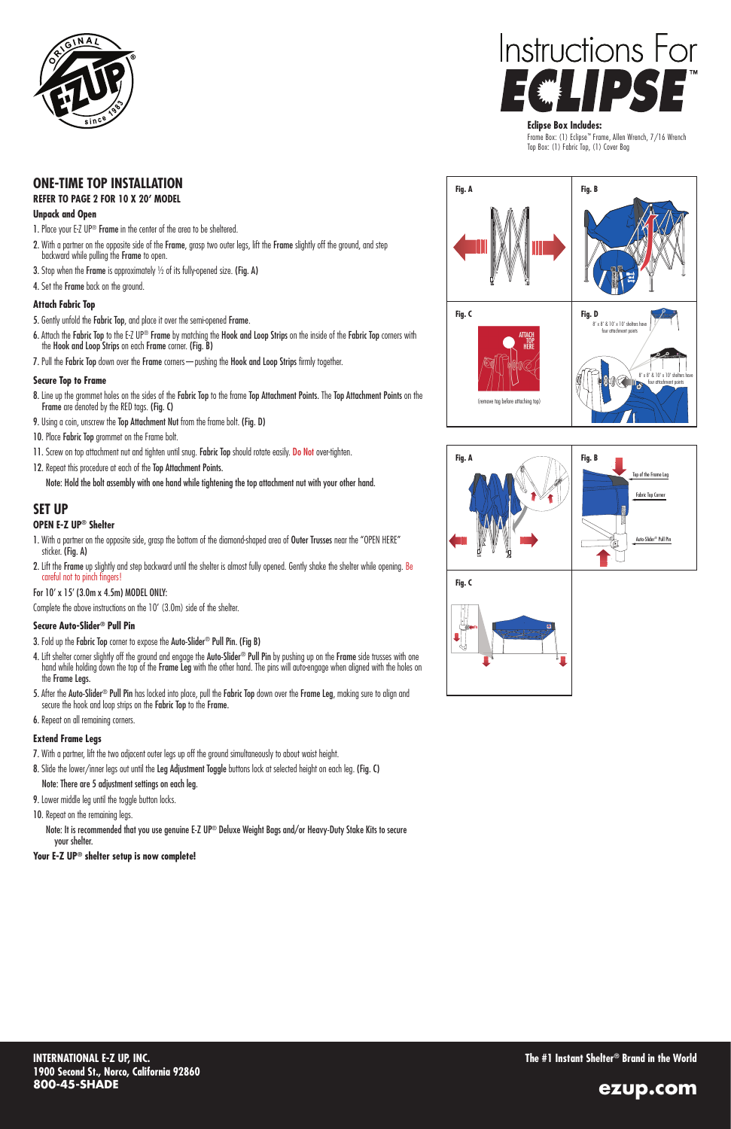**INTERNATIONAL E-Z UP, INC. 1900 Second St., Norco, California 92860 800-45-SHADE**

**The #1 Instant Shelter® Brand in the World**







### **Eclipse Box Includes:**

Frame Box: (1) Eclipse™ Frame, Allen Wrench, 7/16 Wrench Top Box: (1) Fabric Top, (1) Cover Bag

## **ONE-TIME TOP INSTALLATION**

## **SET UP**

#### **REFER TO PAGE 2 FOR 10 X 20' MODEL**

## **Unpack and Open**

- 1. Place your E-Z UP<sup>®</sup> Frame in the center of the area to be sheltered.
- 2. With a partner on the opposite side of the Frame, grasp two outer legs, lift the Frame slightly off the ground, and step backward while pulling the Frame to open.
- 3. Stop when the Frame is approximately ½ of its fully-opened size. (Fig. A)
- 4. Set the Frame back on the ground.

- 5. Gently unfold the Fabric Top, and place it over the semi-opened Frame.
- 6. Attach the Fabric Top to the E-Z UP® Frame by matching the Hook and Loop Strips on the inside of the Fabric Top corners with the Hook and Loop Strips on each Frame corner. (Fig. B)
- 7. Pull the Fabric Top down over the Frame corners pushing the Hook and Loop Strips firmly together.

## **Attach Fabric Top**

- 8. Line up the grommet holes on the sides of the Fabric Top to the frame Top Attachment Points. The Top Attachment Points on the Frame are denoted by the RED tags. (Fig. C)
- 9. Using a coin, unscrew the Top Attachment Nut from the frame bolt. (Fig. D)
- 10. Place Fabric Top grommet on the Frame bolt.
- 11. Screw on top attachment nut and tighten until snug. Fabric Top should rotate easily. Do Not over-tighten.
- 12. Repeat this procedure at each of the Top Attachment Points.

## **Secure Top to Frame**

- 7. With a partner, lift the two adjacent outer legs up off the ground simultaneously to about waist height.
- 8. Slide the lower/inner legs out until the Leg Adjustment Toggle buttons lock at selected height on each leg. (Fig. C)

- 9. Lower middle leg until the toggle button locks.
- 10. Repeat on the remaining legs.
- 

Note: Hold the bolt assembly with one hand while tightening the top attachment nut with your other hand.

## **OPEN E-Z UP® Shelter**

- 1. With a partner on the opposite side, grasp the bottom of the diamond-shaped area of Outer Trusses near the "OPEN HERE" sticker. (Fig. A)
- 2. Lift the Frame up slightly and step backward until the shelter is almost fully opened. Gently shake the shelter while opening. Be careful not to pinch fingers!

### For 10' x 15' (3.0m x 4.5m) MODEL ONLY:

Complete the above instructions on the 10' (3.0m) side of the shelter.

## **Secure Auto-Slider® Pull Pin**

- 3. Fold up the Fabric Top corner to expose the Auto-Slider® Pull Pin. (Fig B)
- 4. Lift shelter corner slightly off the ground and engage the Auto-Slider® Pull Pin by pushing up on the Frame side trusses with one hand while holding down the top of the Frame Leg with the other hand. The pins will auto-engage when aligned with the holes on the Frame Legs.
- 5. After the Auto-Slider<sup>®</sup> Pull Pin has locked into place, pull the Fabric Top down over the Frame Leg, making sure to align and secure the hook and loop strips on the Fabric Top to the Frame.
- 6. Repeat on all remaining corners.

## **Extend Frame Legs**

## Note: There are 5 adjustment settings on each leg.

Note: It is recommended that you use genuine E-Z UP® Deluxe Weight Bags and/or Heavy-Duty Stake Kits to secure your shelter.

**Your E-Z UP® shelter setup is now complete!**